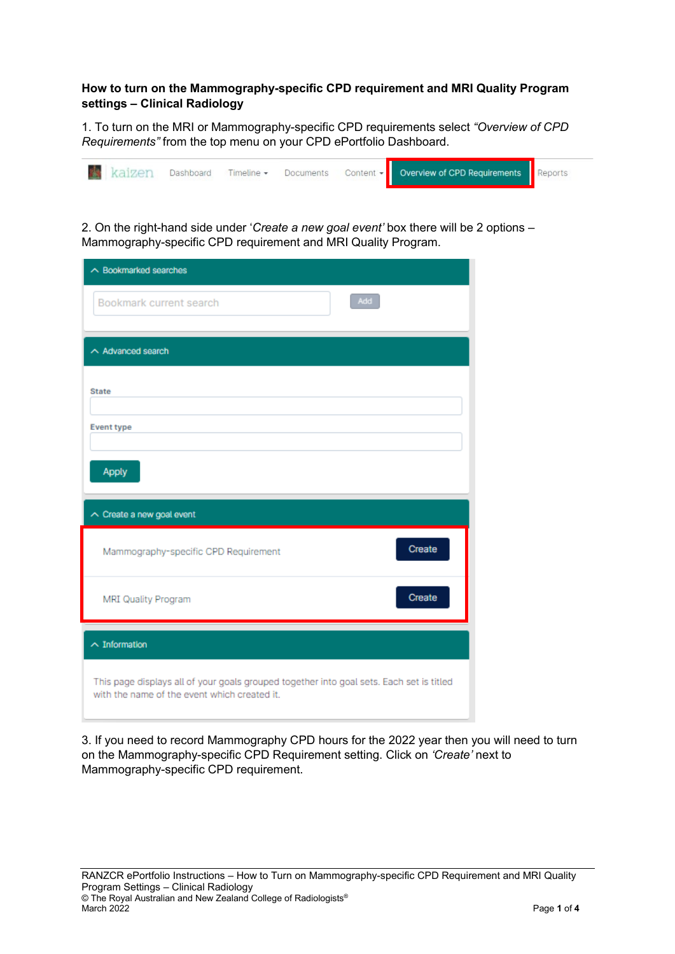## **How to turn on the Mammography-specific CPD requirement and MRI Quality Program settings – Clinical Radiology**

1. To turn on the MRI or Mammography-specific CPD requirements select *"Overview of CPD Requirements"* from the top menu on your CPD ePortfolio Dashboard.



2. On the right-hand side under '*Create a new goal event'* box there will be 2 options – Mammography-specific CPD requirement and MRI Quality Program.

| $\land$ Bookmarked searches                                                                                                              |
|------------------------------------------------------------------------------------------------------------------------------------------|
| Add<br>Bookmark current search                                                                                                           |
| $\land$ Advanced search                                                                                                                  |
| <b>State</b>                                                                                                                             |
| <b>Event type</b>                                                                                                                        |
| Apply                                                                                                                                    |
| $\wedge$ Create a new goal event                                                                                                         |
| Create<br>Mammography-specific CPD Requirement                                                                                           |
| Create<br>MRI Quality Program                                                                                                            |
| $\land$ Information                                                                                                                      |
| This page displays all of your goals grouped together into goal sets. Each set is titled<br>with the name of the event which created it. |

3. If you need to record Mammography CPD hours for the 2022 year then you will need to turn on the Mammography-specific CPD Requirement setting. Click on *'Create'* next to Mammography-specific CPD requirement.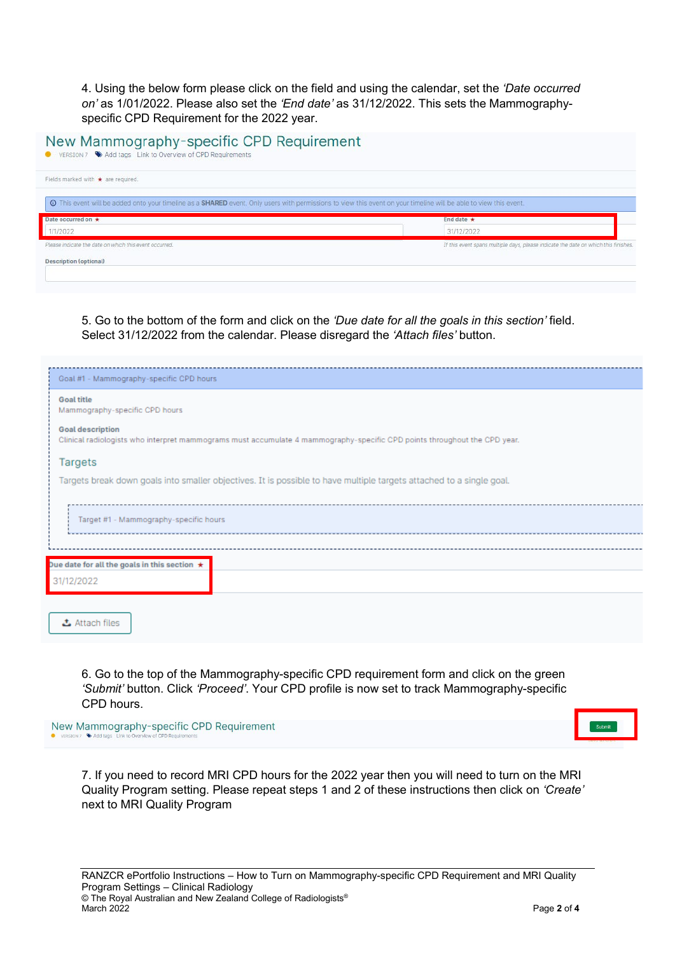4. Using the below form please click on the field and using the calendar, set the *'Date occurred on'* as 1/01/2022. Please also set the *'End date'* as 31/12/2022. This sets the Mammographyspecific CPD Requirement for the 2022 year.

| New Mammography-specific CPD Requirement<br>● VERSION 7 → Add tags Link to Overview of CPD Requirements                                                                  |                                                                                     |
|--------------------------------------------------------------------------------------------------------------------------------------------------------------------------|-------------------------------------------------------------------------------------|
| Fields marked with $\star$ are required.                                                                                                                                 |                                                                                     |
| <b>O</b> This event will be added onto your timeline as a SHARED event. Only users with permissions to view this event on your timeline will be able to view this event. |                                                                                     |
| Date occurred on *                                                                                                                                                       | End date $\star$                                                                    |
| 1/1/2022                                                                                                                                                                 | 31/12/2022                                                                          |
| Please indicate the date on which this event occurred.                                                                                                                   | If this event spans multiple days, please indicate the date on which this finishes. |
| <b>Description (optional)</b>                                                                                                                                            |                                                                                     |

5. Go to the bottom of the form and click on the *'Due date for all the goals in this section'* field. Select 31/12/2022 from the calendar. Please disregard the *'Attach files'* button.

| Goal #1 - Mammography-specific CPD hours                                                                             |                                                                                                                                                      |  |  |  |
|----------------------------------------------------------------------------------------------------------------------|------------------------------------------------------------------------------------------------------------------------------------------------------|--|--|--|
|                                                                                                                      | <b>Goal title</b><br>Mammography-specific CPD hours                                                                                                  |  |  |  |
|                                                                                                                      | <b>Goal description</b><br>Clinical radiologists who interpret mammograms must accumulate 4 mammography-specific CPD points throughout the CPD year. |  |  |  |
|                                                                                                                      | <b>Targets</b>                                                                                                                                       |  |  |  |
| Targets break down goals into smaller objectives. It is possible to have multiple targets attached to a single goal. |                                                                                                                                                      |  |  |  |
|                                                                                                                      |                                                                                                                                                      |  |  |  |
| Target #1 - Mammography-specific hours                                                                               |                                                                                                                                                      |  |  |  |
|                                                                                                                      |                                                                                                                                                      |  |  |  |
|                                                                                                                      | Due date for all the goals in this section $\star$                                                                                                   |  |  |  |
|                                                                                                                      | 31/12/2022                                                                                                                                           |  |  |  |
|                                                                                                                      |                                                                                                                                                      |  |  |  |
|                                                                                                                      | こ Attach files                                                                                                                                       |  |  |  |

6. Go to the top of the Mammography-specific CPD requirement form and click on the green *'Submit'* button. Click *'Proceed'*. Your CPD profile is now set to track Mammography-specific CPD hours.

New Mammography-specific CPD Requirement VERSTON 7 Add tags



7. If you need to record MRI CPD hours for the 2022 year then you will need to turn on the MRI Quality Program setting. Please repeat steps 1 and 2 of these instructions then click on *'Create'* next to MRI Quality Program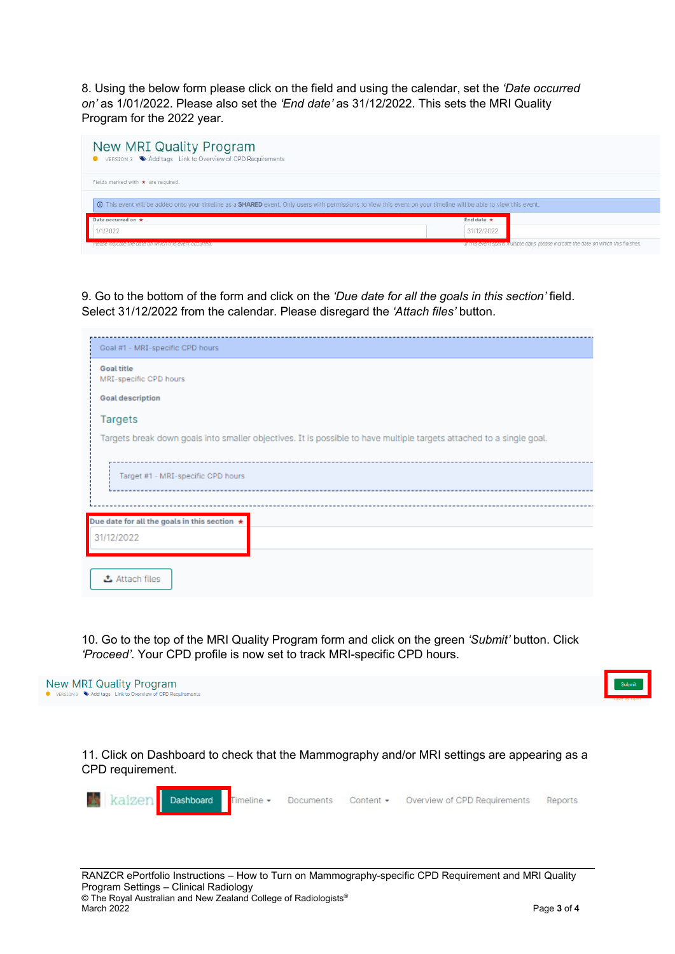8. Using the below form please click on the field and using the calendar, set the *'Date occurred on'* as 1/01/2022. Please also set the *'End date'* as 31/12/2022. This sets the MRI Quality Program for the 2022 year.

| <b>New MRI Quality Program</b><br>● VERSION 3 → Add tags Link to Overview of CPD Requirements |                                                                                                                                                                   |
|-----------------------------------------------------------------------------------------------|-------------------------------------------------------------------------------------------------------------------------------------------------------------------|
| Fields marked with $\star$ are required.                                                      |                                                                                                                                                                   |
|                                                                                               | O This event will be added onto your timeline as a SHARED event. Only users with permissions to view this event on your timeline will be able to view this event. |
| Date occurred on *                                                                            | End date $\star$                                                                                                                                                  |
| /1/2022                                                                                       | 31/12/2022                                                                                                                                                        |
| riease molcate the date on willon this event occurred.                                        | If this event spans multiple days, please indicate the date on which this finishes.                                                                               |

9. Go to the bottom of the form and click on the *'Due date for all the goals in this section'* field. Select 31/12/2022 from the calendar. Please disregard the *'Attach files'* button.

| Goal #1 - MRI-specific CPD hours                                                                                     |  |  |  |  |
|----------------------------------------------------------------------------------------------------------------------|--|--|--|--|
| <b>Goal title</b><br>MRI-specific CPD hours                                                                          |  |  |  |  |
| <b>Goal description</b>                                                                                              |  |  |  |  |
| Targets                                                                                                              |  |  |  |  |
| Targets break down goals into smaller objectives. It is possible to have multiple targets attached to a single goal. |  |  |  |  |
| Target #1 - MRI-specific CPD hours                                                                                   |  |  |  |  |
|                                                                                                                      |  |  |  |  |
| Due date for all the goals in this section $\star$                                                                   |  |  |  |  |
| 31/12/2022                                                                                                           |  |  |  |  |
| ふ Attach files                                                                                                       |  |  |  |  |

10. Go to the top of the MRI Quality Program form and click on the green *'Submit'* button. Click *'Proceed'*. Your CPD profile is now set to track MRI-specific CPD hours.